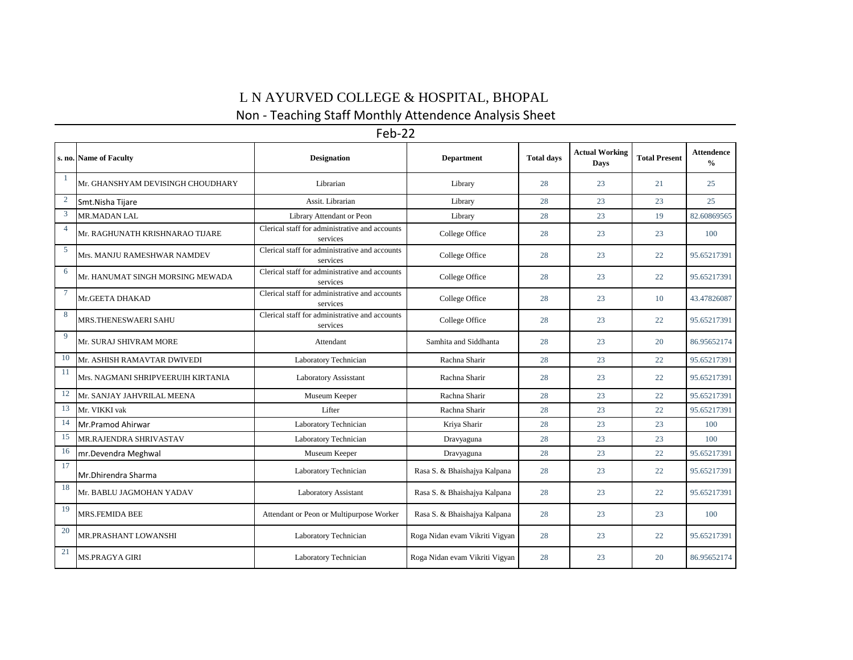## L N AYURVED COLLEGE  $\&$  HOSPITAL, BHOPAL

## Non - Teaching Staff Monthly Attendence Analysis Sheet

| Feb-22         |                                    |                                                            |                                |                   |                               |                      |                                    |  |  |  |  |
|----------------|------------------------------------|------------------------------------------------------------|--------------------------------|-------------------|-------------------------------|----------------------|------------------------------------|--|--|--|--|
|                | s. no. Name of Faculty             | <b>Designation</b>                                         | <b>Department</b>              | <b>Total days</b> | <b>Actual Working</b><br>Days | <b>Total Present</b> | <b>Attendence</b><br>$\frac{0}{0}$ |  |  |  |  |
|                | Mr. GHANSHYAM DEVISINGH CHOUDHARY  | Librarian                                                  | Library                        | 28                | 23                            | 21                   | 25                                 |  |  |  |  |
| $\overline{2}$ | Smt.Nisha Tijare                   | Assit. Librarian                                           | Library                        | 28                | 23                            | 23                   | 25                                 |  |  |  |  |
| $\mathbf{3}$   | MR.MADAN LAL                       | Library Attendant or Peon                                  | Library                        | 28                | 23                            | 19                   | 82.60869565                        |  |  |  |  |
| $\overline{4}$ | Mr. RAGHUNATH KRISHNARAO TIJARE    | Clerical staff for administrative and accounts<br>services | College Office                 | 28                | 23                            | 23                   | 100                                |  |  |  |  |
| $\overline{5}$ | Mrs. MANJU RAMESHWAR NAMDEV        | Clerical staff for administrative and accounts<br>services | College Office                 | 28                | 23                            | 22                   | 95.65217391                        |  |  |  |  |
| 6              | Mr. HANUMAT SINGH MORSING MEWADA   | Clerical staff for administrative and accounts<br>services | College Office                 | 28                | 23                            | 22                   | 95.65217391                        |  |  |  |  |
| 7              | Mr.GEETA DHAKAD                    | Clerical staff for administrative and accounts<br>services | College Office                 | 28                | 23                            | 10                   | 43.47826087                        |  |  |  |  |
| 8              | MRS.THENESWAERI SAHU               | Clerical staff for administrative and accounts<br>services | College Office                 | 28                | 23                            | 22                   | 95.65217391                        |  |  |  |  |
| 9              | Mr. SURAJ SHIVRAM MORE             | Attendant                                                  | Samhita and Siddhanta          | 28                | 23                            | 20                   | 86.95652174                        |  |  |  |  |
| 10             | Mr. ASHISH RAMAVTAR DWIVEDI        | Laboratory Technician                                      | Rachna Sharir                  | 28                | 23                            | 22                   | 95.65217391                        |  |  |  |  |
| 11             | Mrs. NAGMANI SHRIPVEERUIH KIRTANIA | Laboratory Assisstant                                      | Rachna Sharir                  | 28                | 23                            | 22                   | 95.65217391                        |  |  |  |  |
| 12             | Mr. SANJAY JAHVRILAL MEENA         | Museum Keeper                                              | Rachna Sharir                  | 28                | 23                            | 22                   | 95.65217391                        |  |  |  |  |
| 13             | Mr. VIKKI vak                      | Lifter                                                     | Rachna Sharir                  | 28                | 23                            | 22                   | 95.65217391                        |  |  |  |  |
| 14             | Mr.Pramod Ahirwar                  | Laboratory Technician                                      | Kriya Sharir                   | 28                | 23                            | 23                   | 100                                |  |  |  |  |
| 15             | MR.RAJENDRA SHRIVASTAV             | Laboratory Technician                                      | Dravyaguna                     | 28                | 23                            | 23                   | 100                                |  |  |  |  |
| 16             | mr.Devendra Meghwal                | Museum Keeper                                              | Dravyaguna                     | 28                | 23                            | 22                   | 95.65217391                        |  |  |  |  |
| 17             | Mr.Dhirendra Sharma                | Laboratory Technician                                      | Rasa S. & Bhaishajya Kalpana   | 28                | 23                            | 22                   | 95.65217391                        |  |  |  |  |
| 18             | Mr. BABLU JAGMOHAN YADAV           | Laboratory Assistant                                       | Rasa S. & Bhaishajya Kalpana   | 28                | 23                            | 22                   | 95.65217391                        |  |  |  |  |
| 19             | <b>MRS.FEMIDA BEE</b>              | Attendant or Peon or Multipurpose Worker                   | Rasa S. & Bhaishajya Kalpana   | 28                | 23                            | 23                   | 100                                |  |  |  |  |
| 20             | MR.PRASHANT LOWANSHI               | Laboratory Technician                                      | Roga Nidan evam Vikriti Vigyan | 28                | 23                            | 22                   | 95.65217391                        |  |  |  |  |
| 21             | <b>MS.PRAGYA GIRI</b>              | Laboratory Technician                                      | Roga Nidan evam Vikriti Vigyan | 28                | 23                            | 20                   | 86.95652174                        |  |  |  |  |